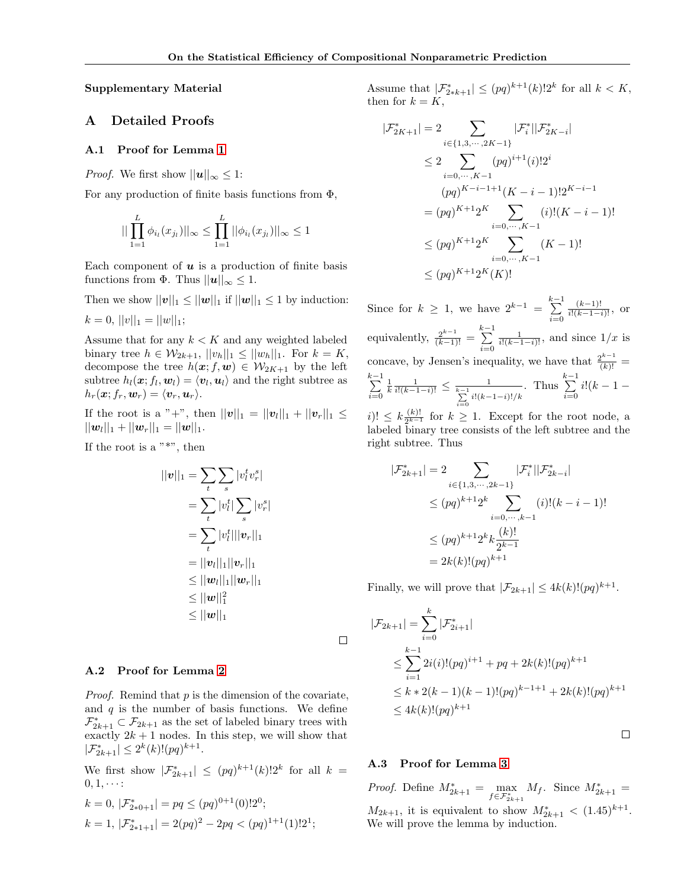Supplementary Material

# A Detailed Proofs

#### A.1 Proof for Lemma 1

*Proof.* We first show  $||u||_{\infty} \leq 1$ :

For any production of finite basis functions from  $\Phi$ ,

$$
||\prod_{1=1}^{L} \phi_{i_l}(x_{j_l})||_{\infty} \le \prod_{1=1}^{L} ||\phi_{i_l}(x_{j_l})||_{\infty} \le 1
$$

Each component of  $u$  is a production of finite basis functions from  $\Phi$ . Thus  $||u||_{\infty} \leq 1$ .

Then we show  $||\mathbf{v}||_1 \leq ||\mathbf{w}||_1$  if  $||\mathbf{w}||_1 \leq 1$  by induction:  $k = 0, ||v||_1 = ||w||_1;$ 

Assume that for any  $k < K$  and any weighted labeled binary tree  $h \in \mathcal{W}_{2k+1}, ||v_h||_1 \leq ||w_h||_1$ . For  $k = K$ , decompose the tree  $h(x; f, w) \in W_{2K+1}$  by the left subtree  $h_l(\boldsymbol{x}; f_l, \boldsymbol{w}_l) = \langle \boldsymbol{v}_l, \boldsymbol{u}_l \rangle$  and the right subtree as  $h_r(\boldsymbol{x}; f_r, \boldsymbol{w}_r) = \langle \boldsymbol{v}_r, \boldsymbol{u}_r \rangle.$ 

If the root is a "+", then  $||v||_1 = ||v_l||_1 + ||v_r||_1 \le$  $||\bm{w}_l||_1+||\bm{w}_r||_1=||\bm{w}||_1.$ 

If the root is a  $"$ \*", then

$$
||v||_1 = \sum_{t} \sum_{s} |v_t^t v_r^s|
$$
  
=  $\sum_{t} |v_t^t| \sum_{s} |v_r^s|$   
=  $\sum_{t} |v_t^t| ||v_r||_1$   
=  $||v_t||_1 ||v_r||_1$   
 $\leq ||w_t||_1 ||w_r||_1$   
 $\leq ||w||_1^2$   
 $\leq ||w||_1$ 

#### A.2 Proof for Lemma 2

*Proof.* Remind that  $p$  is the dimension of the covariate, and  $q$  is the number of basis functions. We define  $\mathcal{F}^*_{2k+1} \subset \mathcal{F}_{2k+1}$  as the set of labeled binary trees with exactly  $2k + 1$  nodes. In this step, we will show that  $|\mathcal{F}_{2k+1}^*| \leq 2^k(k)!(pq)^{k+1}.$ 

We first show  $|\mathcal{F}_{2k+1}^*| \leq (pq)^{k+1}(k)!2^k$  for all  $k =$  $0, 1, \cdots$ :

$$
k = 0, |\mathcal{F}_{2*0+1}^*| = pq \le (pq)^{0+1}(0)!2^0;
$$
  
\n
$$
k = 1, |\mathcal{F}_{2*1+1}^*| = 2(pq)^2 - 2pq < (pq)^{1+1}(1)!2^1;
$$

Assume that  $|\mathcal{F}_{2*k+1}^*| \leq (pq)^{k+1}(k)!2^k$  for all  $k < K$ , then for  $k = K$ ,

$$
|\mathcal{F}_{2K+1}^{*}| = 2 \sum_{i \in \{1,3,\cdots,2K-1\}} |\mathcal{F}_{i}^{*}| |\mathcal{F}_{2K-i}^{*}|
$$
  
\n
$$
\leq 2 \sum_{i=0,\cdots,K-1} (pq)^{i+1}(i)! 2^{i}
$$
  
\n
$$
(pq)^{K-i-1+1}(K-i-1)! 2^{K-i-1}
$$
  
\n
$$
= (pq)^{K+1} 2^{K} \sum_{i=0,\cdots,K-1} (i)! (K-i-1)!
$$
  
\n
$$
\leq (pq)^{K+1} 2^{K} \sum_{i=0,\cdots,K-1} (K-1)!
$$
  
\n
$$
\leq (pq)^{K+1} 2^{K}(K)!
$$

Since for  $k \geq 1$ , we have  $2^{k-1} = \sum_{k=1}^{k-1}$  $i=0$  $\frac{(k-1)!}{i!(k-1-i)!}$ , or equivalently,  $\frac{2^{k-1}}{(k-1)!} = \sum_{k=1}^{k-1}$  $i=0$  $\frac{1}{i!(k-1-i)!}$ , and since  $1/x$  is concave, by Jensen's inequality, we have that  $\frac{2^{k-1}}{(k)!}$  =  $\sum_{ }^{k-1}$  $i=0$  $\frac{1}{k} \frac{1}{i!(k-1-i)!} \leq \frac{1}{\sum_{i=1}^{k-1} i!(k-1-i)!/k}$  $i=0$ . Thus  $\sum_{k=1}^{k-1}$  $i=0$  $i!(k-1 -$ 

 $i)! \leq k \frac{(k)!}{2^{k-1}}$  $\frac{(k)!}{2^{k-1}}$  for  $k \geq 1$ . Except for the root node, a labeled binary tree consists of the left subtree and the right subtree. Thus

$$
|\mathcal{F}_{2k+1}^{*}| = 2 \sum_{i \in \{1, 3, \cdots, 2k-1\}} |\mathcal{F}_{i}^{*}||\mathcal{F}_{2k-i}^{*}|
$$
  
\n
$$
\leq (pq)^{k+1} 2^{k} \sum_{i=0, \cdots, k-1} (i)!(k-i-1)!
$$
  
\n
$$
\leq (pq)^{k+1} 2^{k} k \frac{(k)!}{2^{k-1}}
$$
  
\n
$$
= 2k(k)!(pq)^{k+1}
$$

Finally, we will prove that  $|\mathcal{F}_{2k+1}| \leq 4k(k)!(pq)^{k+1}$ .

$$
|\mathcal{F}_{2k+1}| = \sum_{i=0}^{k} |\mathcal{F}_{2i+1}^{*}|
$$
  
\n
$$
\leq \sum_{i=1}^{k-1} 2i(i)!(pq)^{i+1} + pq + 2k(k)!(pq)^{k+1}
$$
  
\n
$$
\leq k * 2(k-1)(k-1)!(pq)^{k-1+1} + 2k(k)!(pq)^{k+1}
$$
  
\n
$$
\leq 4k(k)!(pq)^{k+1}
$$

 $\Box$ 

### A.3 Proof for Lemma 3

 $\Box$ 

*Proof.* Define  $M_{2k+1}^* = \max_{f \in \mathcal{F}_{2k+1}^*} M_f$ . Since  $M_{2k+1}^* =$  $M_{2k+1}$ , it is equivalent to show  $M_{2k+1}^* < (1.45)^{k+1}$ . We will prove the lemma by induction.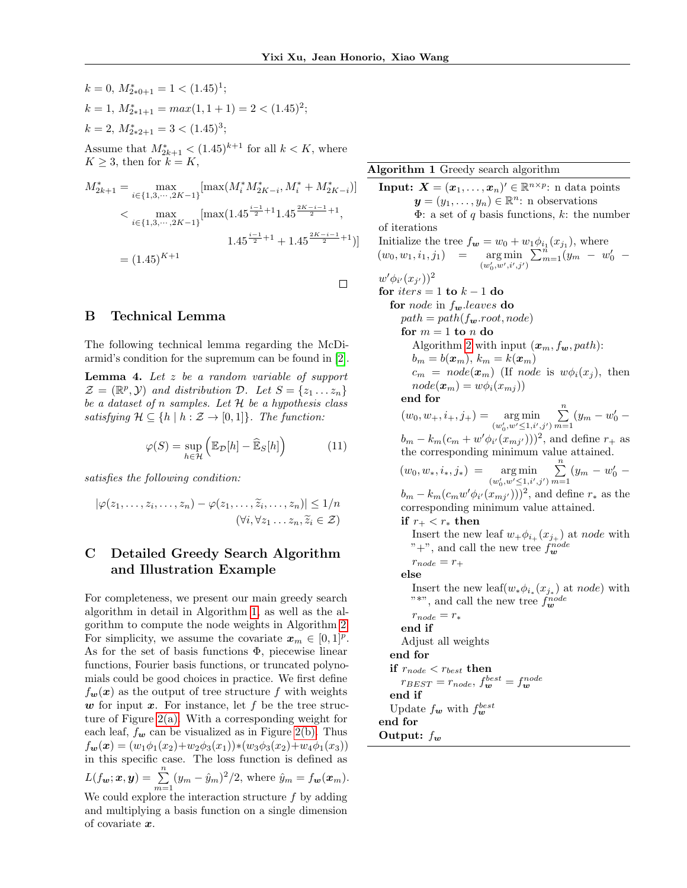$\Box$ 

 $k = 0, M^*_{2*0+1} = 1 < (1.45)^1;$  $k = 1, M^*_{2*1+1} = max(1, 1+1) = 2 < (1.45)^2;$  $k = 2, M^*_{2*2+1} = 3 < (1.45)^3;$ Assume that  $M^*_{2k+1} < (1.45)^{k+1}$  for all  $k < K$ , where  $K \geq 3$ , then for  $k = K$ ,  $M_{2k+1}^* = \max_{i \in \{1,3,\dots,2K-1\}}[\max(M_i^* M_{2K-i}^*, M_i^* + M_{2K-i}^*)]$  $\langle \max_{i \in \{1, 3, \cdots, 2K-1\}} [\max(1.45^{\frac{i-1}{2}+1}1.45^{\frac{2K-i-1}{2}+1}, \min_{i \in \{1, 3, \cdots, 2K-1\}} ]$  $1.45^{\frac{i-1}{2}+1} + 1.45^{\frac{2K-i-1}{2}+1})$  $= (1.45)^{K+1}$ 

# B Technical Lemma

The following technical lemma regarding the McDiarmid's condition for the supremum can be found in [2].

**Lemma 4.** Let  $z$  be a random variable of support  $\mathcal{Z} = (\mathbb{R}^p, \mathcal{Y})$  and distribution  $\mathcal{D}$ . Let  $S = \{z_1 \dots z_n\}$ be a dataset of n samples. Let  $H$  be a hypothesis class satisfying  $\mathcal{H} \subseteq \{h \mid h : \mathcal{Z} \to [0,1]\}.$  The function:

$$
\varphi(S) = \sup_{h \in \mathcal{H}} \left( \mathbb{E}_{\mathcal{D}}[h] - \widehat{\mathbb{E}}_S[h] \right) \tag{11}
$$

satisfies the following condition:

$$
|\varphi(z_1,\ldots,z_i,\ldots,z_n) - \varphi(z_1,\ldots,\widetilde{z}_i,\ldots,z_n)| \leq 1/n
$$
  

$$
(\forall i, \forall z_1 \ldots z_n, \widetilde{z}_i \in \mathcal{Z})
$$

# C Detailed Greedy Search Algorithm and Illustration Example

For completeness, we present our main greedy search algorithm in detail in Algorithm [1,](#page-1-0) as well as the algorithm to compute the node weights in Algorithm [2.](#page-2-0) For simplicity, we assume the covariate  $\mathbf{x}_m \in [0,1]^p$ . As for the set of basis functions  $\Phi$ , piecewise linear functions, Fourier basis functions, or truncated polynomials could be good choices in practice. We first define  $f_w(x)$  as the output of tree structure f with weights w for input  $x$ . For instance, let  $f$  be the tree structure of Figure 2(a). With a corresponding weight for each leaf,  $f_{\boldsymbol{w}}$  can be visualized as in Figure 2(b). Thus  $f_{\boldsymbol{w}}(\boldsymbol{x}) = (w_1\phi_1(x_2)+w_2\phi_3(x_1))*(w_3\phi_3(x_2)+w_4\phi_1(x_3))$ in this specific case. The loss function is defined as  $L(f_{\mathbf{w}}; \mathbf{x}, \mathbf{y}) = \sum_{m=1}^{n} (y_m - \hat{y}_m)^2/2$ , where  $\hat{y}_m = f_{\mathbf{w}}(\mathbf{x}_m)$ . We could explore the interaction structure  $f$  by adding and multiplying a basis function on a single dimension of covariate x.

<span id="page-1-0"></span>Algorithm 1 Greedy search algorithm

**Input:**  $\boldsymbol{X} = (\boldsymbol{x}_1, \dots, \boldsymbol{x}_n)' \in \mathbb{R}^{n \times p}$ : n data points  $y=(y_1,\ldots,y_n)\in\mathbb{R}^n$ : n observations  $\Phi$ : a set of q basis functions, k: the number of iterations Initialize the tree  $f_{\mathbf{w}} = w_0 + w_1 \phi_{i_1}(x_{j_1}),$  where  $(w_0, w_1, i_1, j_1) = \argmin_{(w'_0, w', i', j')}$  $\sum_{m=1}^{n} (y_m - w'_0$  $w' \phi_{i'}(x_{j'})^2$ for  $iters = 1$  to  $k - 1$  do for *node* in  $f_w$  leaves do  $path = path(f_{w}.root, node)$ for  $m = 1$  to  $n$  do Algorithm [2](#page-2-0) with input  $(x_m, f_w, path)$ :  $b_m = b(\boldsymbol{x}_m), k_m = k(\boldsymbol{x}_m)$  $c_m = node(\boldsymbol{x}_m)$  (If node is  $w\phi_i(x_j)$ , then  $node(\boldsymbol{x}_m) = w\phi_i(x_{mj}))$ end for  $(w_0, w_+, i_+, j_+) = \argmin_{(w'_0, w' \leq 1, i', j')}$  $\sum_{n=1}^{\infty}$  $\sum_{m=1}^{\infty} (y_m - w'_0$  $b_m - k_m(c_m + w'\phi_{i'}(x_{mj'})))^2$ , and define  $r_+$  as the corresponding minimum value attained.  $(w_0, w_*, i_*, j_*) = \argmin_{(w'_0, w' \leq 1, i', j')}$  $\sum_{n=1}^{\infty}$  $\sum_{m=1}^{\infty} (y_m - w'_0 (b_m - k_m(c_m w' \phi_{i'}(x_{mj'})))^2$ , and define  $r_*$  as the corresponding minimum value attained. if  $r_{+} < r_{*}$  then Insert the new leaf  $w_+\phi_{i_+}(x_{j_+})$  at node with "<sup>+</sup>", and call the new tree  $f_{\boldsymbol{w}}^{node}$  $r_{node} = r_+$ else Insert the new leaf $(w_*\phi_{i_*}(x_{j_*})$  at node) with "\*", and call the new tree  $f_{\boldsymbol{w}}^{node}$  $r_{node} = r_*$ end if Adjust all weights end for if  $r_{node} < r_{best}$  then  $r_{BEST}=r_{node}, f_{\boldsymbol{w}}^{best}=f_{\boldsymbol{w}}^{node}$ end if Update  $f_{w}$  with  $f_{w}^{best}$ end for Output:  $f_{w}$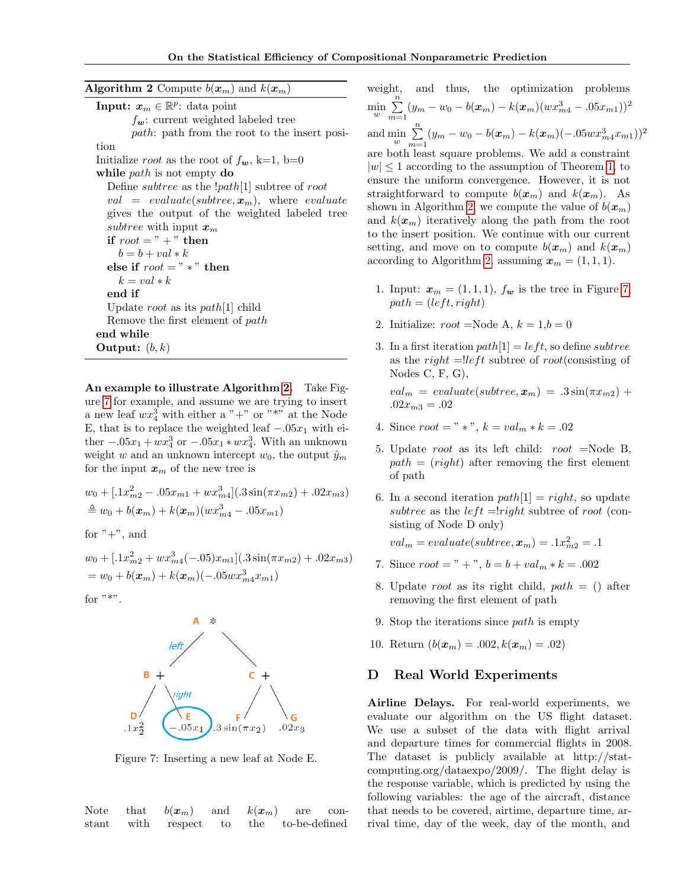<span id="page-2-0"></span>**Algorithm 2** Compute  $b(x_m)$  and  $k(x_m)$ **Input:**  $x_m \in \mathbb{R}^p$ : data point  $f_{\mathbf{w}}$ : current weighted labeled tree path: path from the root to the insert position Initialize *root* as the root of  $f_{w}$ , k=1, b=0 while *path* is not empty do Define *subtree* as the  $[path[1]$  subtree of root val = evaluate(subtree,  $x_m$ ), where evaluate gives the output of the weighted labeled tree subtree with input  $x_m$ if  $root = " +"$  then  $b = b + val * k$ else if  $root = " * " then$  $k = val * k$ end if Update root as its path [1] child Remove the first element of path end while Output:  $(b, k)$ 

An example to illustrate Algorithm [2.](#page-2-0) Take Figure [7](#page-2-1) for example, and assume we are trying to insert a new leaf  $wx_4^3$  with either a "+" or "\*" at the Node E, that is to replace the weighted leaf  $-.05x_1$  with either  $-.05x_1 + wx_4^3$  or  $-.05x_1 * wx_4^3$ . With an unknown weight w and an unknown intercept  $w_0$ , the output  $\hat{y}_m$ for the input  $x_m$  of the new tree is

$$
w_0 + [0.1x_{m2}^2 - 0.05x_{m1} + wx_{m4}^3](0.3\sin(\pi x_{m2}) + 0.02x_{m3})
$$
  
\n
$$
\triangleq w_0 + b(\mathbf{x}_m) + k(\mathbf{x}_m)(wx_{m4}^3 - 0.05x_{m1})
$$

for  $" +"$ , and

 $w_0 + [0.1x_{m2}^2 + wx_{m4}^3(-.05)x_{m1}](0.3\sin(\pi x_{m2}) + .02x_{m3})$  $= w_0 + b(\boldsymbol{x}_m) + k(\boldsymbol{x}_m) (-.05 w x_{m4}^3 x_{m1})$ 

<span id="page-2-1"></span>for  $"$ \*".



Figure 7: Inserting a new leaf at Node E.

Note that  $b(\boldsymbol{x}_m)$  and  $k(\boldsymbol{x}_m)$  are constant with respect to the to-be-defined

weight, and thus, the optimization problems  $\min_{w} \sum_{m=1}^{n}$  $\sum_{m=1} (y_m - w_0 - b(\boldsymbol{x}_m) - k(\boldsymbol{x}_m)(wx_{m4}^3 - .05x_{m1}))^2$ and  $\min_{w} \sum_{m=1}^{n}$  $\sum_{m=1} (y_m - w_0 - b(\boldsymbol{x}_m) - k(\boldsymbol{x}_m)(-.05wx_{m4}^3 x_{m1}))^2$ are both least square problems. We add a constraint  $|w| \leq 1$  according to the assumption of Theorem 1, to ensure the uniform convergence. However, it is not straightforward to compute  $b(\mathbf{x}_m)$  and  $k(\mathbf{x}_m)$ . As shown in Algorithm [2,](#page-2-0) we compute the value of  $b(x_m)$ and  $k(\boldsymbol{x}_m)$  iteratively along the path from the root to the insert position. We continue with our current setting, and move on to compute  $b(x_m)$  and  $k(x_m)$ according to Algorithm [2,](#page-2-0) assuming  $\mathbf{x}_m = (1, 1, 1)$ .

- 1. Input:  $\mathbf{x}_m = (1, 1, 1), f_{\mathbf{w}}$  is the tree in Figure [7,](#page-2-1)  $path = (left, right)$
- 2. Initialize:  $root = \text{Node A}, k = 1, b = 0$
- 3. In a first iteration  $path[1] = left$ , so define *subtree* as the right  $=$ !left subtree of root(consisting of Nodes C, F, G),

 $val_m = evaluate(subtree, \boldsymbol{x}_m) = .3\sin(\pi x_{m2}) +$  $.02x_{m3} = .02$ 

- 4. Since  $root = " *", k = val_m * k = .02$
- 5. Update root as its left child: root =Node B,  $path = (right)$  after removing the first element of path
- 6. In a second iteration  $path[1] = right$ , so update subtree as the  $left = \mid right$  subtree of root (consisting of Node D only)

 $val_m = evaluate(subtree, \boldsymbol{x}_m) = .1x_{m2}^2 = .1$ 

- 7. Since  $root = " +", b = b + val_m * k = .002$
- 8. Update root as its right child,  $path = ()$  after removing the first element of path
- 9. Stop the iterations since  $path$  is empty
- 10. Return  $(b(\mathbf{x}_m) = .002, k(\mathbf{x}_m) = .02)$

## D Real World Experiments

Airline Delays. For real-world experiments, we evaluate our algorithm on the US flight dataset. We use a subset of the data with flight arrival and departure times for commercial flights in 2008. The dataset is publicly available at http://statcomputing.org/dataexpo/2009/. The flight delay is the response variable, which is predicted by using the following variables: the age of the aircraft, distance that needs to be covered, airtime, departure time, arrival time, day of the week, day of the month, and